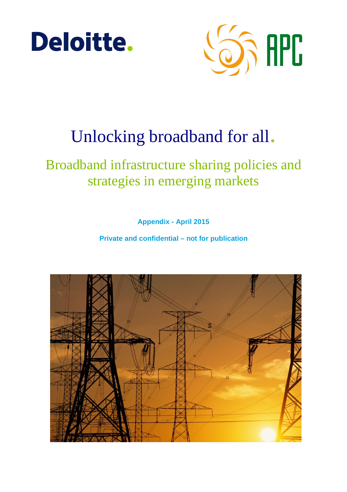



# Unlocking broadband for all.

# Broadband infrastructure sharing policies and strategies in emerging markets

**Appendix - April 2015** 

**Private and confidential – not for publication** 

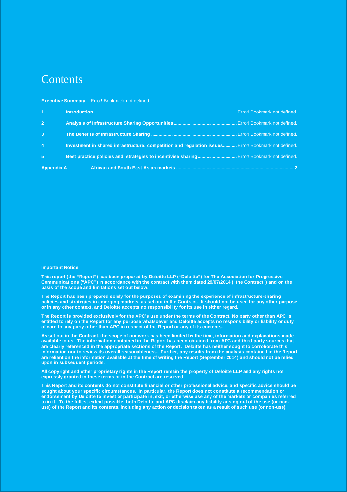# **Contents**

| 1 <sup>1</sup>    |                                                                                                     |
|-------------------|-----------------------------------------------------------------------------------------------------|
| 2 <sup>7</sup>    |                                                                                                     |
| $\overline{3}$    |                                                                                                     |
| $\overline{4}$    | Investment in shared infrastructure: competition and regulation issues Error! Bookmark not defined. |
| $5\phantom{1}$    | Best practice policies and strategies to incentivise sharing Error! Bookmark not defined.           |
| <b>Appendix A</b> |                                                                                                     |

#### **Executive Summary** Error! Bookmark not defined.

#### **Important Notice**

**This report (the "Report") has been prepared by Deloitte LLP ("Deloitte") for The Association for Progressive Communications ("APC") in accordance with the contract with them dated 29/07/2014 ("the Contract") and on the basis of the scope and limitations set out below.** 

**The Report has been prepared solely for the purposes of examining the experience of infrastructure-sharing policies and strategies in emerging markets, as set out in the Contract. It should not be used for any other purpose or in any other context, and Deloitte accepts no responsibility for its use in either regard.** 

**The Report is provided exclusively for the APC's use under the terms of the Contract. No party other than APC is entitled to rely on the Report for any purpose whatsoever and Deloitte accepts no responsibility or liability or duty of care to any party other than APC in respect of the Report or any of its contents.** 

**As set out in the Contract, the scope of our work has been limited by the time, information and explanations made available to us. The information contained in the Report has been obtained from APC and third party sources that are clearly referenced in the appropriate sections of the Report. Deloitte has neither sought to corroborate this information nor to review its overall reasonableness. Further, any results from the analysis contained in the Report are reliant on the information available at the time of writing the Report (September 2014) and should not be relied upon in subsequent periods.** 

**All copyright and other proprietary rights in the Report remain the property of Deloitte LLP and any rights not expressly granted in these terms or in the Contract are reserved.** 

**This Report and its contents do not constitute financial or other professional advice, and specific advice should be sought about your specific circumstances. In particular, the Report does not constitute a recommendation or endorsement by Deloitte to invest or participate in, exit, or otherwise use any of the markets or companies referred to in it. To the fullest extent possible, both Deloitte and APC disclaim any liability arising out of the use (or nonuse) of the Report and its contents, including any action or decision taken as a result of such use (or non-use).**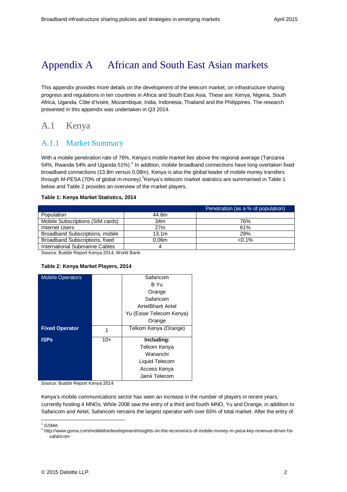# Appendix A African and South East Asian markets

This appendix provides more details on the development of the telecom market, on infrastructure sharing progress and regulations in ten countries in Africa and South East Asia. These are: Kenya, Nigeria, South Africa, Uganda, Côte d'Ivoire, Mozambique, India, Indonesia, Thailand and the Philippines. The research presented in this appendix was undertaken in Q3 2014.

# A.1 Kenya

# A.1.1 Market Summary

With a mobile penetration rate of 76%, Kenya's mobile market lies above the regional average (Tanzania 54%, Rwanda 54% and Uganda 51%).<sup>1</sup> In addition, mobile broadband connections have long overtaken fixed broadband connections (13.8m versus 0.08m). Kenya is also the global leader of mobile money transfers through M-PESA (70% of global m-money). ${}^{2}$ Kenya's telecom market statistics are summarised in Table 1 below and Table 2 provides an overview of the market players.

#### **Table 1: Kenya Market Statistics, 2014**

|                                  |                   | Penetration (as a % of population) |  |
|----------------------------------|-------------------|------------------------------------|--|
| Population                       | 44.6m             |                                    |  |
| Mobile Subscriptions (SIM cards) | 34m               | 76%                                |  |
| Internet Users                   | 27 <sub>m</sub>   | 61%                                |  |
| Broadband Subscriptions, mobile  | 13.1 <sub>m</sub> | 29%                                |  |
| Broadband Subscriptions, fixed   | 0.06 <sub>m</sub> | $< 0.1\%$                          |  |
| International Submarine Cables   |                   |                                    |  |
|                                  |                   |                                    |  |

Source: Budde Report Kenya 2014, World Bank

#### **Table 2: Kenya Market Players, 2014**

| <b>Mobile Operators</b> |       | Safaricom                |
|-------------------------|-------|--------------------------|
|                         |       | B Yu                     |
|                         |       | Orange                   |
|                         |       | Safaricom                |
|                         |       | AirtelBharti Airtel      |
|                         |       | Yu (Essar Telecom Kenya) |
|                         |       | Orange                   |
| <b>Fixed Operator</b>   | 1     | Telkom Kenya (Orange)    |
| <b>ISPs</b>             | $10+$ | Including:               |
|                         |       |                          |
|                         |       | Telkom Kenya             |
|                         |       | Wananchi                 |
|                         |       | Liquid Telecom           |
|                         |       | Access Kenya             |
|                         |       | Jamii Telecom            |

Source: Budde Report Kenya 2014

Kenya's mobile communications sector has seen an increase in the number of players in recent years, currently hosting 4 MNOs. While 2008 saw the entry of a third and fourth MNO, Yu and Orange, in addition to Safaricom and Airtel, Safaricom remains the largest operator with over 65% of total market. After the entry of

 $\frac{1}{1}$  GSMA

<sup>&</sup>lt;sup>2</sup> http://www.gsma.com/mobilefordevelopment/insights-on-the-economics-of-mobile-money-m-pesa-key-revenue-driver-forsafaricom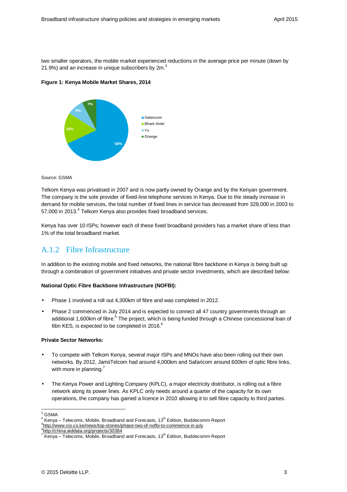two smaller operators, the mobile market experienced reductions in the average price per minute (down by 21.9%) and an increase in unique subscribers by  $2m<sup>3</sup>$ 

**Figure 1: Kenya Mobile Market Shares, 2014** 



#### Source: GSMA

Telkom Kenya was privatised in 2007 and is now partly owned by Orange and by the Kenyan government. The company is the sole provider of fixed-line telephone services in Kenya. Due to the steady increase in demand for mobile services, the total number of fixed lines in service has decreased from 328,000 in 2003 to 57,000 in 2013.<sup>4</sup> Telkom Kenya also provides fixed broadband services.

Kenya has over 10 ISPs; however each of these fixed broadband providers has a market share of less than 1% of the total broadband market.

## A.1.2 Fibre Infrastructure

In addition to the existing mobile and fixed networks, the national fibre backbone in Kenya is being built up through a combination of government initiatives and private sector investments, which are described below:

#### **National Optic Fibre Backbone Infrastructure (NOFBI):**

- Phase 1 involved a roll out 4,300km of fibre and was completed in 2012.
- Phase 2 commenced in July 2014 and is expected to connect all 47 country governments through an additional 1,600km of fibre.<sup>5</sup> The project, which is being funded through a Chinese concessional loan of 6bn KES, is expected to be completed in 2016.<sup>6</sup>

#### **Private Sector Networks:**

- To compete with Telkom Kenya, several major ISPs and MNOs have also been rolling out their own networks. By 2012, JamiiTelcom had around 4,000km and Safaricom around 600km of optic fibre links, with more in planning. $<sup>7</sup>$ </sup>
- The Kenya Power and Lighting Company (KPLC), a major electricity distributor, is rolling out a fibre network along its power lines. As KPLC only needs around a quarter of the capacity for its own operations, the company has gained a licence in 2010 allowing it to sell fibre capacity to third parties.

 $3 \overline{G}$ SMA

 $4$  Kenya – Telecoms, Mobile, Broadband and Forecasts, 13<sup>th</sup> Edition, Buddecomm Report <sup>5</sup>http://www.cio.co.ke/news/top-stories/phase-two-of-nofbi-to-commence-in-july

<sup>&</sup>lt;sup>6</sup>http://china.aiddata.org/projects/30384<br><sup>7</sup> Kenve – Telesema Mebile, Breedbang

Kenya – Telecoms, Mobile, Broadband and Forecasts, 13<sup>th</sup> Edition, Buddecomm Report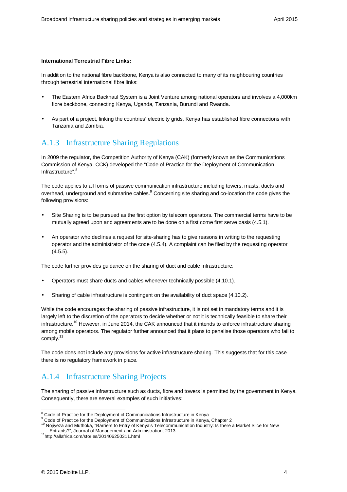#### **International Terrestrial Fibre Links:**

In addition to the national fibre backbone, Kenya is also connected to many of its neighbouring countries through terrestrial international fibre links:

- The Eastern Africa Backhaul System is a Joint Venture among national operators and involves a 4,000km fibre backbone, connecting Kenya, Uganda, Tanzania, Burundi and Rwanda.
- As part of a project, linking the countries' electricity grids, Kenya has established fibre connections with Tanzania and Zambia.

### A.1.3 Infrastructure Sharing Regulations

In 2009 the regulator, the Competition Authority of Kenya (CAK) (formerly known as the Communications Commission of Kenya, CCK) developed the "Code of Practice for the Deployment of Communication Infrastructure".<sup>8</sup>

The code applies to all forms of passive communication infrastructure including towers, masts, ducts and overhead, underground and submarine cables. <sup>9</sup> Concerning site sharing and co-location the code gives the following provisions:

- Site Sharing is to be pursued as the first option by telecom operators. The commercial terms have to be mutually agreed upon and agreements are to be done on a first come first serve basis (4.5.1).
- An operator who declines a request for site-sharing has to give reasons in writing to the requesting operator and the administrator of the code (4.5.4). A complaint can be filed by the requesting operator  $(4.5.5)$ .

The code further provides guidance on the sharing of duct and cable infrastructure:

- Operators must share ducts and cables whenever technically possible (4.10.1).
- Sharing of cable infrastructure is contingent on the availability of duct space (4.10.2).

While the code encourages the sharing of passive infrastructure, it is not set in mandatory terms and it is largely left to the discretion of the operators to decide whether or not it is technically feasible to share their infrastructure.<sup>10</sup> However, in June 2014, the CAK announced that it intends to enforce infrastructure sharing among mobile operators. The regulator further announced that it plans to penalise those operators who fail to comply.<sup>11</sup>

The code does not include any provisions for active infrastructure sharing. This suggests that for this case there is no regulatory framework in place.

## A.1.4 Infrastructure Sharing Projects

The sharing of passive infrastructure such as ducts, fibre and towers is permitted by the government in Kenya. Consequently, there are several examples of such initiatives:

<sup>-</sup><sup>8</sup> Code of Practice for the Deployment of Communications Infrastructure in Kenya<br><sup>9</sup> Code of Practice for the Deployment of Communications Infrastructure in Kenya

Code of Practice for the Deployment of Communications Infrastructure in Kenya, Chapter 2

<sup>10</sup> Nojiyeza and Muthoka, "Barriers to Entry of Kenya's Telecommunication Industry: Is there a Market Slice for New Entrants?", Journal of Management and Administration, 2013

<sup>11</sup>http://allafrica.com/stories/201406250311.html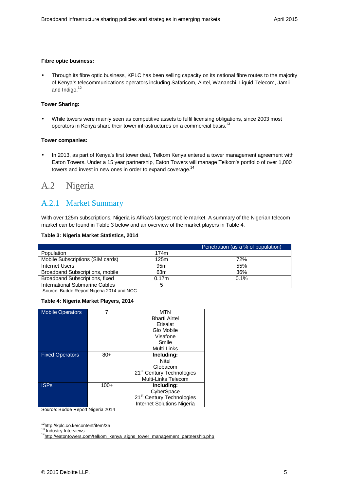#### **Fibre optic business:**

• Through its fibre optic business, KPLC has been selling capacity on its national fibre routes to the majority of Kenya's telecommunications operators including Safaricom, Airtel, Wananchi, Liquid Telecom, Jamii and Indigo.<sup>12</sup>

#### **Tower Sharing:**

• While towers were mainly seen as competitive assets to fulfil licensing obligations, since 2003 most operators in Kenya share their tower infrastructures on a commercial basis.<sup>13</sup>

#### **Tower companies:**

• In 2013, as part of Kenya's first tower deal, Telkom Kenya entered a tower management agreement with Eaton Towers. Under a 15 year partnership, Eaton Towers will manage Telkom's portfolio of over 1,000 towers and invest in new ones in order to expand coverage.<sup>14</sup>

# A.2 Nigeria

### A.2.1 Market Summary

With over 125m subscriptions, Nigeria is Africa's largest mobile market. A summary of the Nigerian telecom market can be found in Table 3 below and an overview of the market players in Table 4.

#### **Table 3: Nigeria Market Statistics, 2014**

|                                  |                 | Penetration (as a % of population) |
|----------------------------------|-----------------|------------------------------------|
| Population                       | 174m            |                                    |
| Mobile Subscriptions (SIM cards) | 125m            | 72%                                |
| Internet Users                   | 95 <sub>m</sub> | 55%                                |
| Broadband Subscriptions, mobile  | 63m             | 36%                                |
| Broadband Subscriptions, fixed   | 0.17m           | 0.1%                               |
| International Submarine Cables   | 5               |                                    |

Source: Budde Report Nigeria 2014 and NCC

#### **Table 4: Nigeria Market Players, 2014**

| <b>Mobile Operators</b> |        | MTN                                   |
|-------------------------|--------|---------------------------------------|
|                         |        | <b>Bharti Airtel</b>                  |
|                         |        | Etisalat                              |
|                         |        | Glo Mobile                            |
|                         |        | Visafone                              |
|                         |        | Smile                                 |
|                         |        | Multi-Links                           |
| <b>Fixed Operators</b>  | $80+$  | Including:                            |
|                         |        | Nitel                                 |
|                         |        | Globacom                              |
|                         |        | 21 <sup>st</sup> Century Technologies |
|                         |        | Multi-Links Telecom                   |
| <b>ISPs</b>             | $100+$ | Including:                            |
|                         |        | CyberSpace                            |
|                         |        | 21 <sup>st</sup> Century Technologies |
|                         |        | Internet Solutions Nigeria            |

Source: Budde Report Nigeria 2014

13 Industry Interviews

<sup>-</sup><sup>12</sup>http://kplc.co.ke/content/item/35

<sup>&</sup>lt;sup>14</sup>http://eatontowers.com/telkom\_kenya\_signs\_tower\_management\_partnership.php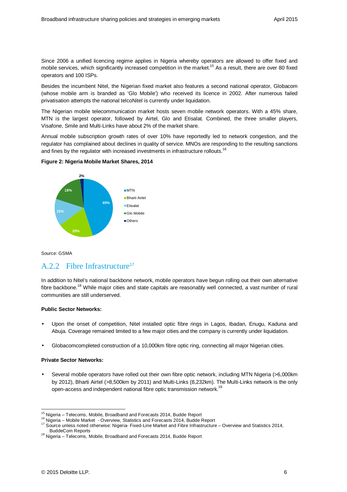Since 2006 a unified licencing regime applies in Nigeria whereby operators are allowed to offer fixed and mobile services, which significantly increased competition in the market.<sup>15</sup> As a result, there are over 80 fixed operators and 100 ISPs.

Besides the incumbent Nitel, the Nigerian fixed market also features a second national operator, Globacom (whose mobile arm is branded as 'Glo Mobile') who received its licence in 2002. After numerous failed privatisation attempts the national telcoNitel is currently under liquidation.

The Nigerian mobile telecommunication market hosts seven mobile network operators. With a 45% share, MTN is the largest operator, followed by Airtel, Glo and Etisalat. Combined, the three smaller players, Visafone, Smile and Multi-Links have about 2% of the market share.

Annual mobile subscription growth rates of over 10% have reportedly led to network congestion, and the regulator has complained about declines in quality of service. MNOs are responding to the resulting sanctions and fines by the regulator with increased investments in infrastructure rollouts.<sup>16</sup>





Source: GSMA

### A.2.2 Fibre Infrastructure<sup>17</sup>

In addition to Nitel's national backbone network, mobile operators have begun rolling out their own alternative fibre backbone.<sup>18</sup> While major cities and state capitals are reasonably well connected, a vast number of rural communities are still underserved.

#### **Public Sector Networks:**

- Upon the onset of competition, Nitel installed optic fibre rings in Lagos, Ibadan, Enugu, Kaduna and Abuja. Coverage remained limited to a few major cities and the company is currently under liquidation.
- Globacomcompleted construction of a 10,000km fibre optic ring, connecting all major Nigerian cities.

#### **Private Sector Networks:**

• Several mobile operators have rolled out their own fibre optic network, including MTN Nigeria (>6,000km by 2012), Bharti Airtel (>8,500km by 2011) and Multi-Links (8,232km). The Multi-Links network is the only open-access and independent national fibre optic transmission network.<sup>19</sup>

<sup>-</sup><sup>15</sup> Nigeria – Telecoms, Mobile, Broadband and Forecasts 2014, Budde Report

<sup>16</sup> Nigeria – Mobile Market - Overview, Statistics and Forecasts 2014, Budde Report

<sup>17</sup> Source unless noted otherwise: Nigeria- Fixed-Line Market and Fibre Infrastructure – Overview and Statistics 2014, BuddeCom Reports

<sup>&</sup>lt;sup>18</sup> Nigeria – Telecoms, Mobile, Broadband and Forecasts 2014, Budde Report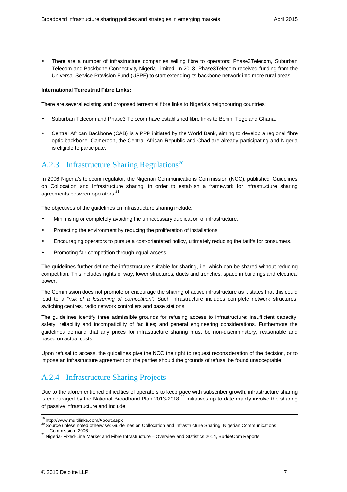• There are a number of infrastructure companies selling fibre to operators: Phase3Telecom, Suburban Telecom and Backbone Connectivity Nigeria Limited. In 2013, Phase3Telecom received funding from the Universal Service Provision Fund (USPF) to start extending its backbone network into more rural areas.

#### **International Terrestrial Fibre Links:**

There are several existing and proposed terrestrial fibre links to Nigeria's neighbouring countries:

- Suburban Telecom and Phase3 Telecom have established fibre links to Benin, Togo and Ghana.
- Central African Backbone (CAB) is a PPP initiated by the World Bank, aiming to develop a regional fibre optic backbone. Cameroon, the Central African Republic and Chad are already participating and Nigeria is eligible to participate.

## A.2.3 Infrastructure Sharing Regulations<sup>20</sup>

In 2006 Nigeria's telecom regulator, the Nigerian Communications Commission (NCC), published 'Guidelines on Collocation and Infrastructure sharing' in order to establish a framework for infrastructure sharing agreements between operators.<sup>21</sup>

The objectives of the guidelines on infrastructure sharing include:

- Minimising or completely avoiding the unnecessary duplication of infrastructure.
- Protecting the environment by reducing the proliferation of installations.
- Encouraging operators to pursue a cost-orientated policy, ultimately reducing the tariffs for consumers.
- Promoting fair competition through equal access.

The guidelines further define the infrastructure suitable for sharing, i.e. which can be shared without reducing competition. This includes rights of way, tower structures, ducts and trenches, space in buildings and electrical power.

The Commission does not promote or encourage the sharing of active infrastructure as it states that this could lead to a "risk of a lessening of competition". Such infrastructure includes complete network structures, switching centres, radio network controllers and base stations.

The guidelines identify three admissible grounds for refusing access to infrastructure: insufficient capacity; safety, reliability and incompatibility of facilities; and general engineering considerations. Furthermore the guidelines demand that any prices for infrastructure sharing must be non-discriminatory, reasonable and based on actual costs.

Upon refusal to access, the guidelines give the NCC the right to request reconsideration of the decision, or to impose an infrastructure agreement on the parties should the grounds of refusal be found unacceptable.

# A.2.4 Infrastructure Sharing Projects

Due to the aforementioned difficulties of operators to keep pace with subscriber growth, infrastructure sharing is encouraged by the National Broadband Plan 2013-2018.<sup>22</sup> Initiatives up to date mainly involve the sharing of passive infrastructure and include:

<sup>-</sup><sup>19</sup> http://www.multilinks.com/About.aspx

<sup>20</sup> Source unless noted otherwise: Guidelines on Collocation and Infrastructure Sharing, Nigerian Communications Commission, 2006

<sup>&</sup>lt;sup>21</sup> Nigeria- Fixed-Line Market and Fibre Infrastructure – Overview and Statistics 2014, BuddeCom Reports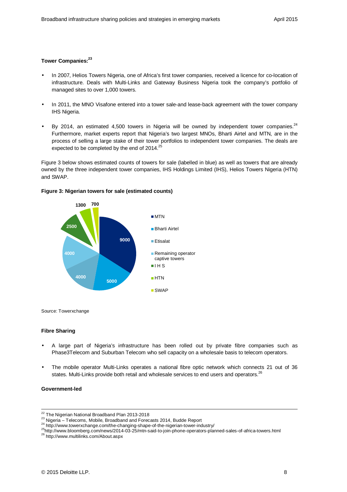#### **Tower Companies:<sup>23</sup>**

- In 2007, Helios Towers Nigeria, one of Africa's first tower companies, received a licence for co-location of infrastructure. Deals with Multi-Links and Gateway Business Nigeria took the company's portfolio of managed sites to over 1,000 towers.
- In 2011, the MNO Visafone entered into a tower sale-and lease-back agreement with the tower company IHS Nigeria.
- By 2014, an estimated 4,500 towers in Nigeria will be owned by independent tower companies. $24$ Furthermore, market experts report that Nigeria's two largest MNOs, Bharti Airtel and MTN, are in the process of selling a large stake of their tower portfolios to independent tower companies. The deals are expected to be completed by the end of  $2014.<sup>25</sup>$

Figure 3 below shows estimated counts of towers for sale (labelled in blue) as well as towers that are already owned by the three independent tower companies, IHS Holdings Limited (IHS), Helios Towers Nigeria (HTN) and SWAP.

#### **Figure 3: Nigerian towers for sale (estimated counts)**



Source: Towerxchange

#### **Fibre Sharing**

- A large part of Nigeria's infrastructure has been rolled out by private fibre companies such as Phase3Telecom and Suburban Telecom who sell capacity on a wholesale basis to telecom operators.
- The mobile operator Multi-Links operates a national fibre optic network which connects 21 out of 36 states. Multi-Links provide both retail and wholesale services to end users and operators. $^{26}$

#### **Government-led**

<sup>&</sup>lt;sup>22</sup> The Nigerian National Broadband Plan 2013-2018

<sup>23</sup> Nigeria – Telecoms, Mobile, Broadband and Forecasts 2014, Budde Report

<sup>&</sup>lt;sup>24</sup> http://www.towerxchange.com/the-changing-shape-of-the-nigerian-tower-industry/

<sup>25</sup>http://www.bloomberg.com/news/2014-03-25/mtn-said-to-join-phone-operators-planned-sales-of-africa-towers.html

<sup>26</sup> http://www.multilinks.com/About.aspx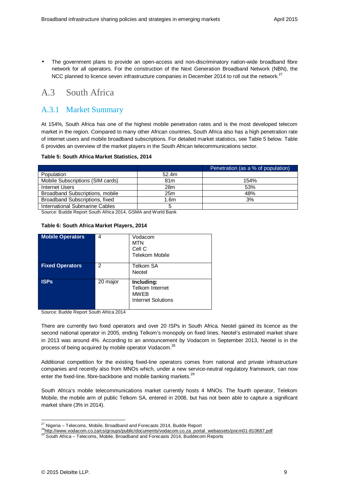• The government plans to provide an open-access and non-discriminatory nation-wide broadband fibre network for all operators. For the construction of the Next Generation Broadband Network (NBN), the NCC planned to licence seven infrastructure companies in December 2014 to roll out the network.<sup>27</sup>

# A.3 South Africa

### A.3.1 Market Summary

At 154%, South Africa has one of the highest mobile penetration rates and is the most developed telecom market in the region. Compared to many other African countries, South Africa also has a high penetration rate of internet users and mobile broadband subscriptions. For detailed market statistics, see Table 5 below. Table 6 provides an overview of the market players in the South African telecommunications sector.

#### **Table 5: South Africa Market Statistics, 2014**

|                                  |                 | Penetration (as a % of population) |
|----------------------------------|-----------------|------------------------------------|
| Population                       | 52.4m           |                                    |
| Mobile Subscriptions (SIM cards) | 81 <sub>m</sub> | 154%                               |
| Internet Users                   | 28m             | 53%                                |
| Broadband Subscriptions, mobile  | 25m             | 48%                                |
| Broadband Subscriptions, fixed   | 1.6m            | 3%                                 |
| International Submarine Cables   | 5               |                                    |

Source: Budde Report South Africa 2014, GSMA and World Bank

#### **Table 6: South Africa Market Players, 2014**

| <b>Mobile Operators</b> | 4        | Vodacom<br><b>MTN</b><br>Cell C<br><b>Telekom Mobile</b>                         |
|-------------------------|----------|----------------------------------------------------------------------------------|
| <b>Fixed Operators</b>  | 2        | Telkom SA<br>Neotel                                                              |
| <b>ISPs</b>             | 20 major | Including:<br><b>Telkom Internet</b><br><b>MWEB</b><br><b>Internet Solutions</b> |

Source: Budde Report South Africa 2014

There are currently two fixed operators and over 20 ISPs in South Africa. Neotel gained its licence as the second national operator in 2005, ending Telkom's monopoly on fixed lines. Neotel's estimated market share in 2013 was around 4%. According to an announcement by Vodacom in September 2013, Neotel is in the process of being acquired by mobile operator Vodacom.<sup>28</sup>

Additional competition for the existing fixed-line operators comes from national and private infrastructure companies and recently also from MNOs which, under a new service-neutral regulatory framework, can now enter the fixed-line, fibre-backbone and mobile banking markets.<sup>29</sup>

South Africa's mobile telecommunications market currently hosts 4 MNOs. The fourth operator, Telekom Mobile, the mobile arm of public Telkom SA, entered in 2008, but has not been able to capture a significant market share (3% in 2014).

<sup>-</sup> $27$  Nigeria – Telecoms, Mobile, Broadband and Forecasts 2014, Budde Report

<sup>&</sup>lt;sup>28</sup>http://www.vodacom.co.za/cs/groups/public/documents/vodacom.co.za\_portal\_webassets/pocm01-810687.pdf

<sup>&</sup>lt;sup>3</sup> South Africa – Telecoms, Mobile, Broadband and Forecasts 2014, Buddecom Reports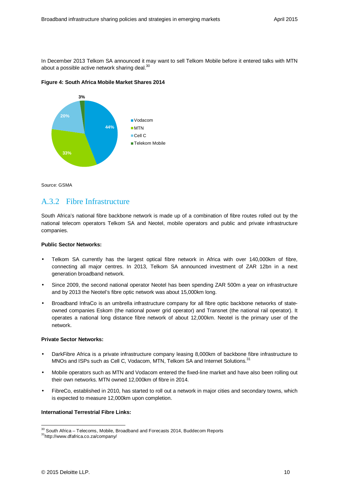In December 2013 Telkom SA announced it may want to sell Telkom Mobile before it entered talks with MTN about a possible active network sharing deal.<sup>30</sup>

**Figure 4: South Africa Mobile Market Shares 2014** 



Source: GSMA

### A.3.2 Fibre Infrastructure

South Africa's national fibre backbone network is made up of a combination of fibre routes rolled out by the national telecom operators Telkom SA and Neotel, mobile operators and public and private infrastructure companies.

#### **Public Sector Networks:**

- Telkom SA currently has the largest optical fibre network in Africa with over 140,000km of fibre, connecting all major centres. In 2013, Telkom SA announced investment of ZAR 12bn in a next generation broadband network.
- Since 2009, the second national operator Neotel has been spending ZAR 500m a year on infrastructure and by 2013 the Neotel's fibre optic network was about 15,000km long.
- Broadband InfraCo is an umbrella infrastructure company for all fibre optic backbone networks of stateowned companies Eskom (the national power grid operator) and Transnet (the national rail operator). It operates a national long distance fibre network of about 12,000km. Neotel is the primary user of the network.

#### **Private Sector Networks:**

- DarkFibre Africa is a private infrastructure company leasing 8,000km of backbone fibre infrastructure to MNOs and ISPs such as Cell C, Vodacom, MTN, Telkom SA and Internet Solutions.<sup>31</sup>
- Mobile operators such as MTN and Vodacom entered the fixed-line market and have also been rolling out their own networks. MTN owned 12,000km of fibre in 2014.
- FibreCo, established in 2010, has started to roll out a network in major cities and secondary towns, which is expected to measure 12,000km upon completion.

#### **International Terrestrial Fibre Links:**

<sup>-</sup> $30$  South Africa – Telecoms, Mobile, Broadband and Forecasts 2014, Buddecom Reports

<sup>31</sup>http://www.dfafrica.co.za/company/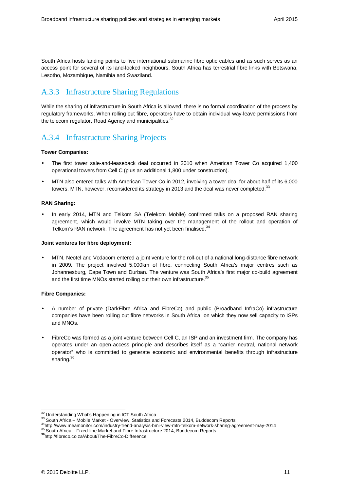South Africa hosts landing points to five international submarine fibre optic cables and as such serves as an access point for several of its land-locked neighbours. South Africa has terrestrial fibre links with Botswana, Lesotho, Mozambique, Namibia and Swaziland.

# A.3.3 Infrastructure Sharing Regulations

While the sharing of infrastructure in South Africa is allowed, there is no formal coordination of the process by regulatory frameworks. When rolling out fibre, operators have to obtain individual way-leave permissions from the telecom regulator, Road Agency and municipalities.<sup>32</sup>

# A.3.4 Infrastructure Sharing Projects

#### **Tower Companies:**

- The first tower sale-and-leaseback deal occurred in 2010 when American Tower Co acquired 1,400 operational towers from Cell C (plus an additional 1,800 under construction).
- MTN also entered talks with American Tower Co in 2012, involving a tower deal for about half of its 6,000 towers. MTN, however, reconsidered its strategy in 2013 and the deal was never completed.<sup>33</sup>

#### **RAN Sharing:**

• In early 2014, MTN and Telkom SA (Telekom Mobile) confirmed talks on a proposed RAN sharing agreement, which would involve MTN taking over the management of the rollout and operation of Telkom's RAN network. The agreement has not yet been finalised.<sup>34</sup>

#### **Joint ventures for fibre deployment:**

• MTN, Neotel and Vodacom entered a joint venture for the roll-out of a national long-distance fibre network in 2009. The project involved 5,000km of fibre, connecting South Africa's major centres such as Johannesburg, Cape Town and Durban. The venture was South Africa's first major co-build agreement and the first time MNOs started rolling out their own infrastructure.<sup>35</sup>

#### **Fibre Companies:**

- A number of private (DarkFibre Africa and FibreCo) and public (Broadband InfraCo) infrastructure companies have been rolling out fibre networks in South Africa, on which they now sell capacity to ISPs and MNOs.
- FibreCo was formed as a joint venture between Cell C, an ISP and an investment firm. The company has operates under an open-access principle and describes itself as a "carrier neutral, national network operator" who is committed to generate economic and environmental benefits through infrastructure sharing.<sup>36</sup>

<sup>-</sup><sup>32</sup> Understanding What's Happening in ICT South Africa

<sup>33</sup> South Africa – Mobile Market - Overview, Statistics and Forecasts 2014, Buddecom Reports

<sup>34</sup>http://www.meamonitor.com/industry-trend-analysis-bmi-view-mtn-telkom-network-sharing-agreement-may-2014

<sup>&</sup>lt;sup>35</sup> South Africa – Fixed-line Market and Fibre Infrastructure 2014, Buddecom Reports

**<sup>36</sup>**http://fibreco.co.za/About/The-FibreCo-Difference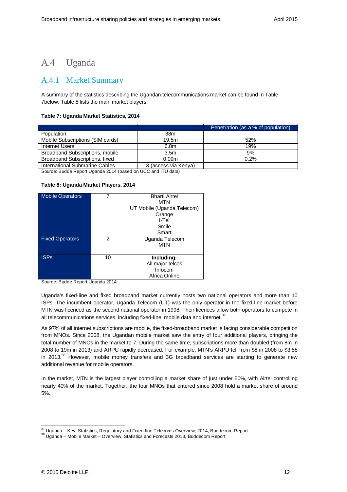# A.4 Uganda

### A.4.1 Market Summary

A summary of the statistics describing the Ugandan telecommunications market can be found in Table 7below. Table 8 lists the main market players.

#### **Table 7: Uganda Market Statistics, 2014**

|                                  |                      | Penetration (as a % of population) |
|----------------------------------|----------------------|------------------------------------|
| Population                       | 38m                  |                                    |
| Mobile Subscriptions (SIM cards) | 19.5m                | 52%                                |
| Internet Users                   | 6.8 <sub>m</sub>     | 19%                                |
| Broadband Subscriptions, mobile  | 3.5 <sub>m</sub>     | 9%                                 |
| Broadband Subscriptions, fixed   | 0.09 <sub>m</sub>    | 0.2%                               |
| International Submarine Cables   | 3 (access via Kenya) |                                    |

Source: Budde Report Uganda 2014 (based on UCC and ITU data)

#### **Table 8: Uganda Market Players, 2014**

| <b>Mobile Operators</b> |    | <b>Bharti Airtel</b>       |
|-------------------------|----|----------------------------|
|                         |    | <b>MTN</b>                 |
|                         |    | UT Mobile (Uganda Telecom) |
|                         |    | Orange                     |
|                         |    | I-Tel                      |
|                         |    | Smile                      |
|                         |    | Smart                      |
| <b>Fixed Operators</b>  | 2  | Uganda Telecom             |
|                         |    | <b>MTN</b>                 |
|                         |    |                            |
| <b>ISPS</b>             | 10 | Including:                 |
|                         |    | All major telcos           |
|                         |    | Infocom                    |
|                         |    | Africa Online              |

Source: Budde Report Uganda 2014

Uganda's fixed-line and fixed broadband market currently hosts two national operators and more than 10 ISPs. The incumbent operator, Uganda Telecom (UT) was the only operator in the fixed-line market before MTN was licenced as the second national operator in 1998. Their licences allow both operators to compete in all telecommunications services, including fixed-line, mobile data and internet. $37$ 

As 97% of all internet subscriptions are mobile, the fixed-broadband market is facing considerable competition from MNOs. Since 2008, the Ugandan mobile market saw the entry of four additional players, bringing the total number of MNOs in the market to 7. During the same time, subscriptions more than doubled (from 8m in 2008 to 19m in 2013) and ARPU rapidly decreased. For example, MTN's ARPU fell from \$8 in 2008 to \$3.58 in 2013.<sup>38</sup> However, mobile money transfers and 3G broadband services are starting to generate new additional revenue for mobile operators.

In the market, MTN is the largest player controlling a market share of just under 50%, with Airtel controlling nearly 40% of the market. Together, the four MNOs that entered since 2008 hold a market share of around 5%.

 $37$  Uganda – Key, Statistics, Regulatory and Fixed-line Telecoms Overview, 2014, Buddecom Report

<sup>38</sup> Uganda – Mobile Market – Overview, Statistics and Forecasts 2013, Buddecom Report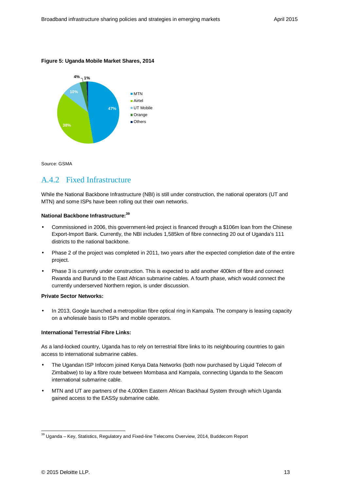#### **Figure 5: Uganda Mobile Market Shares, 2014**



Source: GSMA

### A.4.2 Fixed Infrastructure

While the National Backbone Infrastructure (NBI) is still under construction, the national operators (UT and MTN) and some ISPs have been rolling out their own networks.

#### **National Backbone Infrastructure:<sup>39</sup>**

- Commissioned in 2006, this government-led project is financed through a \$106m loan from the Chinese Export-Import Bank. Currently, the NBI includes 1,585km of fibre connecting 20 out of Uganda's 111 districts to the national backbone.
- Phase 2 of the project was completed in 2011, two years after the expected completion date of the entire project.
- Phase 3 is currently under construction. This is expected to add another 400km of fibre and connect Rwanda and Burundi to the East African submarine cables. A fourth phase, which would connect the currently underserved Northern region, is under discussion.

#### **Private Sector Networks:**

• In 2013, Google launched a metropolitan fibre optical ring in Kampala. The company is leasing capacity on a wholesale basis to ISPs and mobile operators.

#### **International Terrestrial Fibre Links:**

As a land-locked country, Uganda has to rely on terrestrial fibre links to its neighbouring countries to gain access to international submarine cables.

- The Ugandan ISP Infocom joined Kenya Data Networks (both now purchased by Liquid Telecom of Zimbabwe) to lay a fibre route between Mombasa and Kampala, connecting Uganda to the Seacom international submarine cable.
- MTN and UT are partners of the 4,000km Eastern African Backhaul System through which Uganda gained access to the EASSy submarine cable.

 $39$  Uganda – Key, Statistics, Regulatory and Fixed-line Telecoms Overview, 2014, Buddecom Report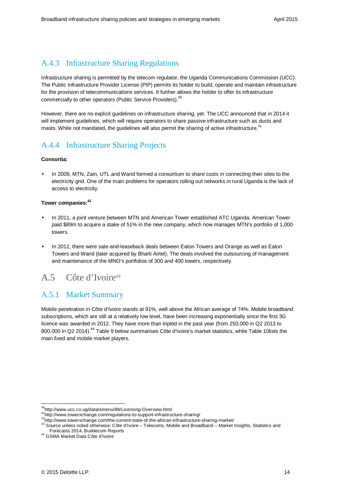# A.4.3 Infrastructure Sharing Regulations

Infrastructure sharing is permitted by the telecom regulator, the Uganda Communications Commission (UCC). The Public Infrastructure Provider License (PIP) permits its holder to build, operate and maintain infrastructure for the provision of telecommunications services. It further allows the holder to offer its infrastructure commercially to other operators (Public Service Providers).<sup>40</sup>

However, there are no explicit guidelines on infrastructure sharing, yet. The UCC announced that in 2014 it will implement guidelines, which will require operators to share passive infrastructure such as ducts and masts. While not mandated, the quidelines will also permit the sharing of active infrastructure.<sup>41</sup>

# A.4.4 Infrastructure Sharing Projects

#### **Consortia:**

• In 2009, MTN, Zain, UTL and Warid formed a consortium to share costs in connecting their sites to the electricity grid. One of the main problems for operators rolling out networks in rural Uganda is the lack of access to electricity.

#### **Tower companies:<sup>42</sup>**

- In 2011, a joint venture between MTN and American Tower established ATC Uganda. American Tower paid \$89m to acquire a stake of 51% in the new company, which now manages MTN's portfolio of 1,000 towers.
- In 2012, there were sale-and-leaseback deals between Eaton Towers and Orange as well as Eaton Towers and Warid (later acquired by Bharti Airtel). The deals involved the outsourcing of management and maintenance of the MNO's portfolios of 300 and 400 towers, respectively.

# A.5 Côte d'Ivoire<sup>43</sup>

## A.5.1 Market Summary

Mobile penetration in Côte d'Ivoire stands at 91%, well above the African average of 74%. Mobile broadband subscriptions, which are still at a relatively low level, have been increasing exponentially since the first 3G licence was awarded in 2012. They have more than tripled in the past year (from 250,000 in Q2 2013 to 800,000 in Q2 2014).<sup>44</sup> Table 9 below summarises Côte d'Ivoire's market statistics, while Table 10lists the main fixed and mobile market players.

<sup>40</sup>http://www.ucc.co.ug/data/smenu/88/Licensing-Overview.html

<sup>41</sup>http://www.towerxchange.com/regulations-to-support-infrastructure-sharing/

<sup>42</sup>http://www.towerxchange.com/the-current-state-of-the-african-infrastructure-sharing-market/

<sup>43</sup> Source unless noted otherwise: Côte d'Ivoire – Telecoms, Mobile and Broadband – Market Insights, Statistics and Forecasts 2014, Buddecom Reports

<sup>44</sup> GSMA Market Data Côte d'Ivoire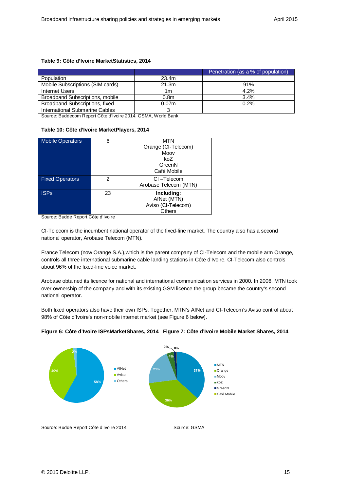#### **Table 9: Côte d'Ivoire MarketStatistics, 2014**

|                                  |                   | Penetration (as a % of population) |
|----------------------------------|-------------------|------------------------------------|
| Population                       | 23.4m             |                                    |
| Mobile Subscriptions (SIM cards) | 21.3m             | 91%                                |
| Internet Users                   | 1m                | 4.2%                               |
| Broadband Subscriptions, mobile  | 0.8 <sub>m</sub>  | 3.4%                               |
| Broadband Subscriptions, fixed   | 0.07 <sub>m</sub> | 0.2%                               |
| International Submarine Cables   |                   |                                    |

Source: Buddecom Report Côte d'Ivoire 2014, GSMA, World Bank

#### **Table 10: Côte d'Ivoire MarketPlayers, 2014**

| <b>Mobile Operators</b> | 6  | <b>MTN</b><br>Orange (CI-Telecom)<br>Moov<br>koZ<br>GreenN<br>Café Mobile |
|-------------------------|----|---------------------------------------------------------------------------|
| <b>Fixed Operators</b>  | 2  | CI-Telecom<br>Arobase Telecom (MTN)                                       |
| <b>ISPs</b>             | 23 | Including:<br>AfNet (MTN)<br>Aviso (CI-Telecom)<br>Others                 |

Source: Budde Report Côte d'Ivoire

CI-Telecom is the incumbent national operator of the fixed-line market. The country also has a second national operator, Arobase Telecom (MTN).

France Telecom (now Orange S.A.),which is the parent company of CI-Telecom and the mobile arm Orange, controls all three international submarine cable landing stations in Côte d'Ivoire. CI-Telecom also controls about 96% of the fixed-line voice market.

Arobase obtained its licence for national and international communication services in 2000. In 2006, MTN took over ownership of the company and with its existing GSM licence the group became the country's second national operator.

Both fixed operators also have their own ISPs. Together, MTN's AfNet and CI-Telecom's Aviso control about 98% of Côte d'Ivoire's non-mobile internet market (see Figure 6 below).



#### **Figure 6: Côte d'Ivoire ISPsMarketShares, 2014 Figure 7: Côte d'Ivoire Mobile Market Shares, 2014**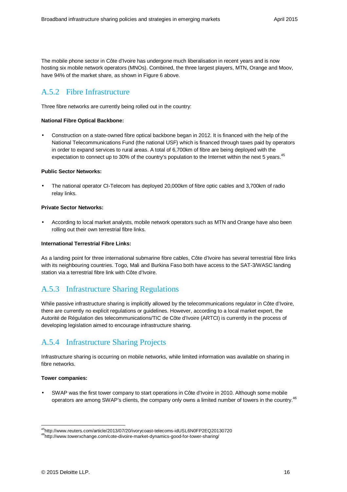The mobile phone sector in Côte d'Ivoire has undergone much liberalisation in recent years and is now hosting six mobile network operators (MNOs). Combined, the three largest players, MTN, Orange and Moov, have 94% of the market share, as shown in Figure 6 above.

# A.5.2 Fibre Infrastructure

Three fibre networks are currently being rolled out in the country:

#### **National Fibre Optical Backbone:**

• Construction on a state-owned fibre optical backbone began in 2012. It is financed with the help of the National Telecommunications Fund (the national USF) which is financed through taxes paid by operators in order to expand services to rural areas. A total of 6,700km of fibre are being deployed with the expectation to connect up to 30% of the country's population to the Internet within the next 5 years.<sup>45</sup>

#### **Public Sector Networks:**

• The national operator CI-Telecom has deployed 20,000km of fibre optic cables and 3,700km of radio relay links.

#### **Private Sector Networks:**

• According to local market analysts, mobile network operators such as MTN and Orange have also been rolling out their own terrestrial fibre links.

#### **International Terrestrial Fibre Links:**

As a landing point for three international submarine fibre cables, Côte d'Ivoire has several terrestrial fibre links with its neighbouring countries. Togo, Mali and Burkina Faso both have access to the SAT-3/WASC landing station via a terrestrial fibre link with Côte d'Ivoire.

## A.5.3 Infrastructure Sharing Regulations

While passive infrastructure sharing is implicitly allowed by the telecommunications regulator in Côte d'Ivoire, there are currently no explicit regulations or guidelines. However, according to a local market expert, the Autorité de Régulation des telecommunications/TIC de Côte d'Ivoire (ARTCI) is currently in the process of developing legislation aimed to encourage infrastructure sharing.

# A.5.4 Infrastructure Sharing Projects

Infrastructure sharing is occurring on mobile networks, while limited information was available on sharing in fibre networks.

#### **Tower companies:**

• SWAP was the first tower company to start operations in Côte d'Ivoire in 2010. Although some mobile operators are among SWAP's clients, the company only owns a limited number of towers in the country.<sup>46</sup>

<sup>-</sup><sup>45</sup>http://www.reuters.com/article/2013/07/20/ivorycoast-telecoms-idUSL6N0FP2EQ20130720

<sup>46</sup>http://www.towerxchange.com/cote-divoire-market-dynamics-good-for-tower-sharing/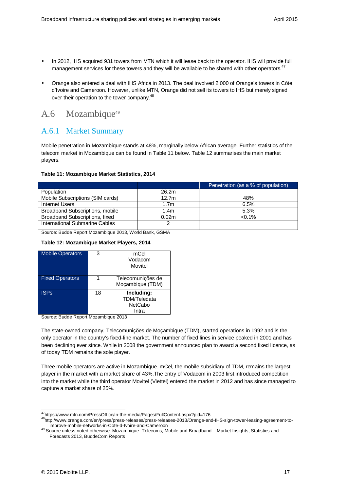- In 2012, IHS acquired 931 towers from MTN which it will lease back to the operator. IHS will provide full management services for these towers and they will be available to be shared with other operators.<sup>47</sup>
- Orange also entered a deal with IHS Africa in 2013. The deal involved 2,000 of Orange's towers in Côte d'Ivoire and Cameroon. However, unlike MTN, Orange did not sell its towers to IHS but merely signed over their operation to the tower company.<sup>48</sup>

# A.6 Mozambique<sup>49</sup>

### A.6.1 Market Summary

Mobile penetration in Mozambique stands at 48%, marginally below African average. Further statistics of the telecom market in Mozambique can be found in Table 11 below. Table 12 summarises the main market players.

#### **Table 11: Mozambique Market Statistics, 2014**

|                                  |                   | Penetration (as a % of population) |
|----------------------------------|-------------------|------------------------------------|
| Population                       | 26.2m             |                                    |
| Mobile Subscriptions (SIM cards) | 12.7 <sub>m</sub> | 48%                                |
| Internet Users                   | 1.7 <sub>m</sub>  | 6.5%                               |
| Broadband Subscriptions, mobile  | 1.4m              | 5.3%                               |
| Broadband Subscriptions, fixed   | 0.02 <sub>m</sub> | $< 0.1\%$                          |
| International Submarine Cables   |                   |                                    |

Source: Budde Report Mozambique 2013, World Bank, GSMA

#### **Table 12: Mozambique Market Players, 2014**

| <b>Mobile Operators</b> | 3  | mCel<br>Vodacom<br>Movitel                                   |
|-------------------------|----|--------------------------------------------------------------|
| <b>Fixed Operators</b>  |    | Telecomunições de<br>Moçambique (TDM)                        |
| <b>ISPs</b>             | 18 | Including:<br><b>TDM/Teledata</b><br><b>NetCabo</b><br>Intra |

Source: Budde Report Mozambique 2013

The state-owned company, Telecomunições de Moçambique (TDM), started operations in 1992 and is the only operator in the country's fixed-line market. The number of fixed lines in service peaked in 2001 and has been declining ever since. While in 2008 the government announced plan to award a second fixed licence, as of today TDM remains the sole player.

Three mobile operators are active in Mozambique. mCel, the mobile subsidiary of TDM, remains the largest player in the market with a market share of 43%.The entry of Vodacom in 2003 first introduced competition into the market while the third operator Movitel (Viettel) entered the market in 2012 and has since managed to capture a market share of 25%.

<sup>-</sup><sup>47</sup>https://www.mtn.com/PressOffice/in-the-media/Pages/FullContent.aspx?pid=176

<sup>48</sup>http://www.orange.com/en/press/press-releases/press-releases-2013/Orange-and-IHS-sign-tower-leasing-agreement-toimprove-mobile-networks-in-Cote-d-Ivoire-and-Cameroon

<sup>49</sup> Source unless noted otherwise: Mozambique- Telecoms, Mobile and Broadband – Market Insights, Statistics and Forecasts 2013, BuddeCom Reports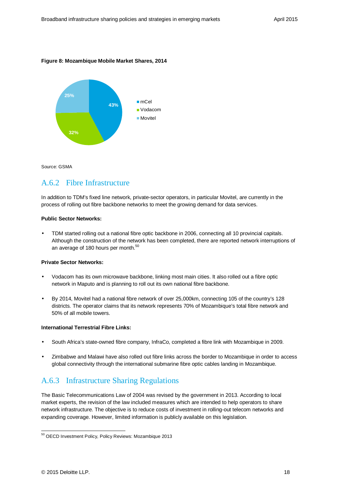#### **Figure 8: Mozambique Mobile Market Shares, 2014**



Source: GSMA

### A.6.2 Fibre Infrastructure

In addition to TDM's fixed line network, private-sector operators, in particular Movitel, are currently in the process of rolling out fibre backbone networks to meet the growing demand for data services.

#### **Public Sector Networks:**

• TDM started rolling out a national fibre optic backbone in 2006, connecting all 10 provincial capitals. Although the construction of the network has been completed, there are reported network interruptions of an average of 180 hours per month.<sup>50</sup>

#### **Private Sector Networks:**

- Vodacom has its own microwave backbone, linking most main cities. It also rolled out a fibre optic network in Maputo and is planning to roll out its own national fibre backbone.
- By 2014, Movitel had a national fibre network of over 25,000km, connecting 105 of the country's 128 districts. The operator claims that its network represents 70% of Mozambique's total fibre network and 50% of all mobile towers.

#### **International Terrestrial Fibre Links:**

- South Africa's state-owned fibre company, InfraCo, completed a fibre link with Mozambique in 2009.
- Zimbabwe and Malawi have also rolled out fibre links across the border to Mozambique in order to access global connectivity through the international submarine fibre optic cables landing in Mozambique.

## A.6.3 Infrastructure Sharing Regulations

The Basic Telecommunications Law of 2004 was revised by the government in 2013. According to local market experts, the revision of the law included measures which are intended to help operators to share network infrastructure. The objective is to reduce costs of investment in rolling-out telecom networks and expanding coverage. However, limited information is publicly available on this legislation.

<sup>&</sup>lt;sup>50</sup> OECD Investment Policy, Policy Reviews: Mozambique 2013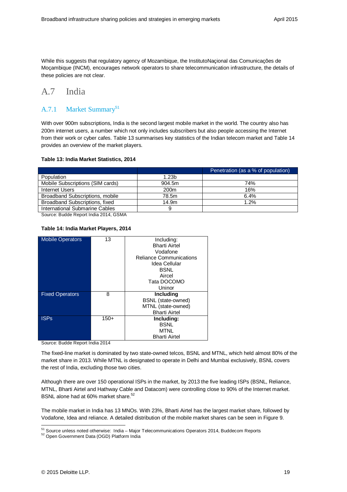While this suggests that regulatory agency of Mozambique, the InstitutoNaçional das Comunicações de Moçambique (INCM), encourages network operators to share telecommunication infrastructure, the details of these policies are not clear.

# A.7 India

### A.7.1 Market Summary<sup>51</sup>

With over 900m subscriptions, India is the second largest mobile market in the world. The country also has 200m internet users, a number which not only includes subscribers but also people accessing the Internet from their work or cyber cafes. Table 13 summarises key statistics of the Indian telecom market and Table 14 provides an overview of the market players.

#### **Table 13: India Market Statistics, 2014**

|                                  |                  | Penetration (as a % of population) |
|----------------------------------|------------------|------------------------------------|
| Population                       | 1.23b            |                                    |
| Mobile Subscriptions (SIM cards) | 904.5m           | 74%                                |
| Internet Users                   | 200 <sub>m</sub> | 16%                                |
| Broadband Subscriptions, mobile  | 78.5m            | 6.4%                               |
| Broadband Subscriptions, fixed   | 14.9m            | 1.2%                               |
| International Submarine Cables   | 9                |                                    |

Source: Budde Report India 2014, GSMA

#### **Table 14: India Market Players, 2014**

| <b>Mobile Operators</b> | 13     | Including:                     |
|-------------------------|--------|--------------------------------|
|                         |        | <b>Bharti Airtel</b>           |
|                         |        | Vodafone                       |
|                         |        | <b>Reliance Communications</b> |
|                         |        | Idea Cellular                  |
|                         |        | <b>BSNL</b>                    |
|                         |        | Aircel                         |
|                         |        | Tata DOCOMO                    |
|                         |        | Uninor                         |
| <b>Fixed Operators</b>  | 8      | <b>Including</b>               |
|                         |        | <b>BSNL</b> (state-owned)      |
|                         |        | MTNL (state-owned)             |
|                         |        | <b>Bharti Airtel</b>           |
| <b>ISPs</b>             | $150+$ | Including:                     |
|                         |        | <b>BSNL</b>                    |
|                         |        | <b>MTNL</b>                    |
|                         |        | <b>Bharti Airtel</b>           |

Source: Budde Report India 2014

The fixed-line market is dominated by two state-owned telcos, BSNL and MTNL, which held almost 80% of the market share in 2013. While MTNL is designated to operate in Delhi and Mumbai exclusively, BSNL covers the rest of India, excluding those two cities.

Although there are over 150 operational ISPs in the market, by 2013 the five leading ISPs (BSNL, Reliance, MTNL, Bharti Airtel and Hathway Cable and Datacom) were controlling close to 90% of the Internet market. BSNL alone had at 60% market share.<sup>52</sup>

The mobile market in India has 13 MNOs. With 23%, Bharti Airtel has the largest market share, followed by Vodafone, Idea and reliance. A detailed distribution of the mobile market shares can be seen in Figure 9.

<sup>-</sup><sup>51</sup> Source unless noted otherwise: India – Major Telecommunications Operators 2014, Buddecom Reports

<sup>52</sup> Open Government Data (OGD) Platform India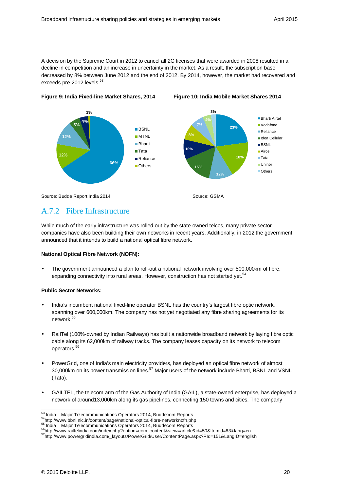A decision by the Supreme Court in 2012 to cancel all 2G licenses that were awarded in 2008 resulted in a decline in competition and an increase in uncertainty in the market. As a result, the subscription base decreased by 8% between June 2012 and the end of 2012. By 2014, however, the market had recovered and exceeds pre-2012 levels.<sup>53</sup>



#### **Figure 9: India Fixed-line Market Shares, 2014 Figure 10: India Mobile Market Shares 2014**

## A.7.2 Fibre Infrastructure

While much of the early infrastructure was rolled out by the state-owned telcos, many private sector companies have also been building their own networks in recent years. Additionally, in 2012 the government announced that it intends to build a national optical fibre network.

#### **National Optical Fibre Network (NOFN):**

• The government announced a plan to roll-out a national network involving over 500,000km of fibre, expanding connectivity into rural areas. However, construction has not started yet.<sup>54</sup>

#### **Public Sector Networks:**

- India's incumbent national fixed-line operator BSNL has the country's largest fibre optic network, spanning over 600,000km. The company has not yet negotiated any fibre sharing agreements for its network.<sup>55</sup>
- RailTel (100%-owned by Indian Railways) has built a nationwide broadband network by laying fibre optic cable along its 62,000km of railway tracks. The company leases capacity on its network to telecom operators.<sup>5</sup>
- PowerGrid, one of India's main electricity providers, has deployed an optical fibre network of almost 30,000km on its power transmission lines.<sup>57</sup> Major users of the network include Bharti, BSNL and VSNL (Tata).
- GAILTEL, the telecom arm of the Gas Authority of India (GAIL), a state-owned enterprise, has deployed a network of around13,000km along its gas pipelines, connecting 150 towns and cities. The company

<sup>-</sup> $53$  India – Major Telecommunications Operators 2014, Buddecom Reports

<sup>54</sup>http://www.bbnl.nic.in/content/page/national-optical-fibre-networknofn.php

<sup>55</sup> India – Major Telecommunications Operators 2014, Buddecom Reports

<sup>56</sup>http://www.railtelindia.com/index.php?option=com\_content&view=article&id=50&Itemid=83&lang=en

<sup>57</sup>http://www.powergridindia.com/\_layouts/PowerGrid/User/ContentPage.aspx?PId=151&LangID=english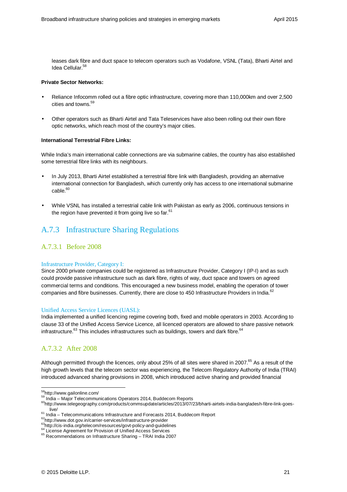leases dark fibre and duct space to telecom operators such as Vodafone, VSNL (Tata), Bharti Airtel and Idea Cellular.<sup>58</sup>

#### **Private Sector Networks:**

- Reliance Infocomm rolled out a fibre optic infrastructure, covering more than 110,000km and over 2,500 cities and towns.<sup>59</sup>
- Other operators such as Bharti Airtel and Tata Teleservices have also been rolling out their own fibre optic networks, which reach most of the country's major cities.

#### **International Terrestrial Fibre Links:**

While India's main international cable connections are via submarine cables, the country has also established some terrestrial fibre links with its neighbours.

- In July 2013, Bharti Airtel established a terrestrial fibre link with Bangladesh, providing an alternative international connection for Bangladesh, which currently only has access to one international submarine  $c$ able $60$
- While VSNL has installed a terrestrial cable link with Pakistan as early as 2006, continuous tensions in the region have prevented it from going live so far.<sup>61</sup>

# A.7.3 Infrastructure Sharing Regulations

### A.7.3.1 Before 2008

#### Infrastructure Provider, Category I:

Since 2000 private companies could be registered as Infrastructure Provider, Category I (IP-I) and as such could provide passive infrastructure such as dark fibre, rights of way, duct space and towers on agreed commercial terms and conditions. This encouraged a new business model, enabling the operation of tower companies and fibre businesses. Currently, there are close to 450 Infrastructure Providers in India.<sup>62</sup>

#### Unified Access Service Licences (UASL):

India implemented a unified licencing regime covering both, fixed and mobile operators in 2003. According to clause 33 of the Unified Access Service Licence, all licenced operators are allowed to share passive network infrastructure. $^{63}$  This includes infrastructures such as buildings, towers and dark fibre. $^{64}$ 

### A.7.3.2 After 2008

Although permitted through the licences, only about 25% of all sites were shared in 2007.<sup>65</sup> As a result of the high growth levels that the telecom sector was experiencing, the Telecom Regulatory Authority of India (TRAI) introduced advanced sharing provisions in 2008, which introduced active sharing and provided financial

<sup>&</sup>lt;sup>58</sup>http://www.gailonline.com/

<sup>&</sup>lt;sup>59</sup> India – Major Telecommunications Operators 2014, Buddecom Reports

<sup>&</sup>lt;sup>60</sup>http://www.telegeography.com/products/commsupdate/articles/2013/07/23/bharti-airtels-india-bangladesh-fibre-link-goeslive/

<sup>&</sup>lt;sup>61</sup> India – Telecommunications Infrastructure and Forecasts 2014, Buddecom Report

<sup>62</sup>http://www.dot.gov.in/carrier-services/infrastructure-provider

<sup>&</sup>lt;sup>63</sup>http://cis-india.org/telecom/resources/govt-policy-and-guidelines

<sup>&</sup>lt;sup>64</sup> License Agreement for Provision of Unified Access Services

<sup>&</sup>lt;sup>65</sup> Recommendations on Infrastructure Sharing - TRAI India 2007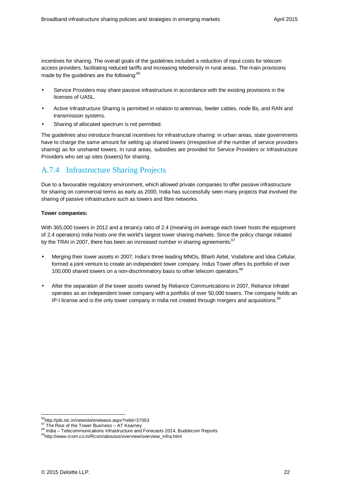incentives for sharing. The overall goals of the guidelines included a reduction of input costs for telecom access providers, facilitating reduced tariffs and increasing teledensity in rural areas. The main provisions made by the guidelines are the following:<sup>66</sup>

- Service Providers may share passive infrastructure in accordance with the existing provisions in the licenses of UASL.
- Active Infrastructure Sharing is permitted in relation to antennas, feeder cables, node Bs, and RAN and transmission systems.
- Sharing of allocated spectrum is not permitted.

The guidelines also introduce financial incentives for infrastructure sharing: in urban areas, state governments have to charge the same amount for setting up shared towers (irrespective of the number of service providers sharing) as for unshared towers. In rural areas, subsidies are provided for Service Providers or Infrastructure Providers who set up sites (towers) for sharing.

# A.7.4 Infrastructure Sharing Projects

Due to a favourable regulatory environment, which allowed private companies to offer passive infrastructure for sharing on commercial terms as early as 2000, India has successfully seen many projects that involved the sharing of passive infrastructure such as towers and fibre networks.

#### **Tower companies:**

With 365,000 towers in 2012 and a tenancy ratio of 2.4 (meaning on average each tower hosts the equipment of 2.4 operators) India hosts one the world's largest tower sharing markets. Since the policy change initiated by the TRAI in 2007, there has been an increased number in sharing agreements:<sup>67</sup>

- Merging their tower assets in 2007, India's three leading MNOs, Bharti Airtel, Vodafone and Idea Cellular, formed a joint venture to create an independent tower company. Indus Tower offers its portfolio of over 100,000 shared towers on a non-discriminatory basis to other telecom operators.<sup>68</sup>
- After the separation of the tower assets owned by Reliance Communications in 2007, Reliance Infratel operates as an independent tower company with a portfolio of over 50,000 towers. The company holds an IP-I license and is the only tower company in India not created through mergers and acquisitions.<sup>69</sup>

<sup>66</sup>http://pib.nic.in/newsite/erelease.aspx?relid=37053

 $67$  The Rise of the Tower Business – AT Kearney

<sup>&</sup>lt;sup>68</sup> India – Telecommunications Infrastructure and Forecasts 2014, Buddecom Reports

<sup>69</sup>http://www.rcom.co.in/Rcom/aboutus/overview/overview\_infra.html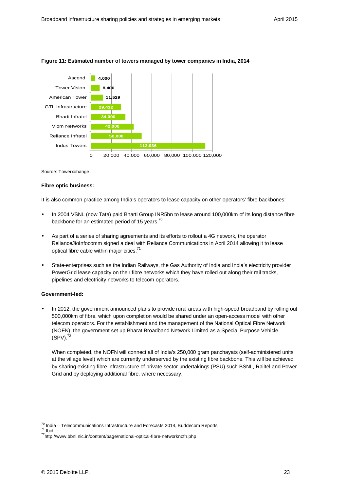

#### **Figure 11: Estimated number of towers managed by tower companies in India, 2014**

Source: Towerxchange

#### **Fibre optic business:**

It is also common practice among India's operators to lease capacity on other operators' fibre backbones:

- In 2004 VSNL (now Tata) paid Bharti Group INR5bn to lease around 100,000km of its long distance fibre backbone for an estimated period of 15 years.<sup>70</sup>
- As part of a series of sharing agreements and its efforts to rollout a 4G network, the operator RelianceJioInfocomm signed a deal with Reliance Communications in April 2014 allowing it to lease optical fibre cable within major cities.<sup>71</sup>
- State-enterprises such as the Indian Railways, the Gas Authority of India and India's electricity provider PowerGrid lease capacity on their fibre networks which they have rolled out along their rail tracks, pipelines and electricity networks to telecom operators.

#### **Government-led:**

• In 2012, the government announced plans to provide rural areas with high-speed broadband by rolling out 500,000km of fibre, which upon completion would be shared under an open-access model with other telecom operators. For the establishment and the management of the National Optical Fibre Network (NOFN), the government set up Bharat Broadband Network Limited as a Special Purpose Vehicle  $(SPV)$ .<sup>72</sup>

When completed, the NOFN will connect all of India's 250,000 gram panchayats (self-administered units at the village level) which are currently underserved by the existing fibre backbone. This will be achieved by sharing existing fibre infrastructure of private sector undertakings (PSU) such BSNL, Railtel and Power Grid and by deploying additional fibre, where necessary.

 $\frac{70}{10}$  India – Telecommunications Infrastructure and Forecasts 2014, Buddecom Reports <sup>71</sup> Ibid

<sup>72</sup>http://www.bbnl.nic.in/content/page/national-optical-fibre-networknofn.php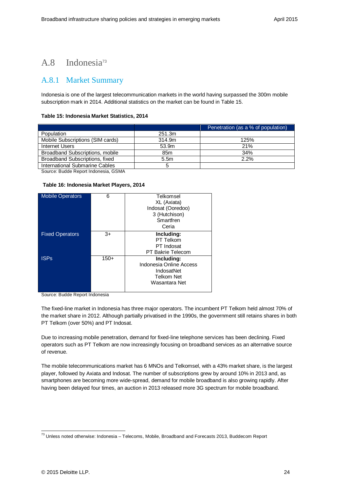# A.8 Indonesia<sup>73</sup>

### A.8.1 Market Summary

Indonesia is one of the largest telecommunication markets in the world having surpassed the 300m mobile subscription mark in 2014. Additional statistics on the market can be found in Table 15.

#### **Table 15: Indonesia Market Statistics, 2014**

|                                  |                  | Penetration (as a % of population) |
|----------------------------------|------------------|------------------------------------|
| Population                       | 251.3m           |                                    |
| Mobile Subscriptions (SIM cards) | 314.9m           | 125%                               |
| Internet Users                   | 53.9m            | <b>21%</b>                         |
| Broadband Subscriptions, mobile  | 85 <sub>m</sub>  | 34%                                |
| Broadband Subscriptions, fixed   | 5.5 <sub>m</sub> | 2.2%                               |
| International Submarine Cables   | 5                |                                    |

Source: Budde Report Indonesia, GSMA

#### **Table 16: Indonesia Market Players, 2014**

| <b>Mobile Operators</b> | 6      | Telkomsel               |
|-------------------------|--------|-------------------------|
|                         |        | XL (Axiata)             |
|                         |        | Indosat (Ooredoo)       |
|                         |        | 3 (Hutchison)           |
|                         |        | Smartfren               |
|                         |        | Ceria                   |
| <b>Fixed Operators</b>  | $3+$   | Including:              |
|                         |        | PT Telkom               |
|                         |        | PT Indosat              |
|                         |        | PT Bakrie Telecom       |
| <b>ISPs</b>             | $150+$ | Including:              |
|                         |        | Indonesia Online Access |
|                         |        | IndosatNet              |
|                         |        | Telkom Net              |
|                         |        | Wasantara Net           |
|                         |        |                         |

Source: Budde Report Indonesia

The fixed-line market in Indonesia has three major operators. The incumbent PT Telkom held almost 70% of the market share in 2012. Although partially privatised in the 1990s, the government still retains shares in both PT Telkom (over 50%) and PT Indosat.

Due to increasing mobile penetration, demand for fixed-line telephone services has been declining. Fixed operators such as PT Telkom are now increasingly focusing on broadband services as an alternative source of revenue.

The mobile telecommunications market has 6 MNOs and Telkomsel, with a 43% market share, is the largest player, followed by Axiata and Indosat. The number of subscriptions grew by around 10% in 2013 and, as smartphones are becoming more wide-spread, demand for mobile broadband is also growing rapidly. After having been delayed four times, an auction in 2013 released more 3G spectrum for mobile broadband.

<sup>-</sup> $^{73}$  Unless noted otherwise: Indonesia – Telecoms, Mobile, Broadband and Forecasts 2013, Buddecom Report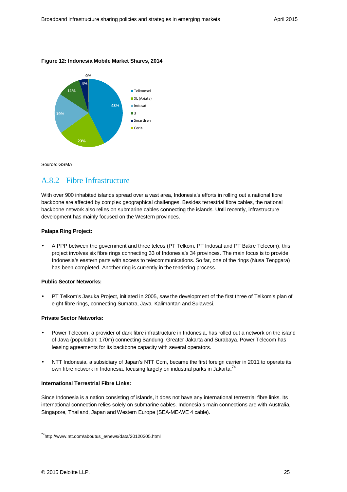#### **Figure 12: Indonesia Mobile Market Shares, 2014**



Source: GSMA

### A.8.2 Fibre Infrastructure

With over 900 inhabited islands spread over a vast area, Indonesia's efforts in rolling out a national fibre backbone are affected by complex geographical challenges. Besides terrestrial fibre cables, the national backbone network also relies on submarine cables connecting the islands. Until recently, infrastructure development has mainly focused on the Western provinces.

#### **Palapa Ring Project:**

• A PPP between the government and three telcos (PT Telkom, PT Indosat and PT Bakre Telecom), this project involves six fibre rings connecting 33 of Indonesia's 34 provinces. The main focus is to provide Indonesia's eastern parts with access to telecommunications. So far, one of the rings (Nusa Tenggara) has been completed. Another ring is currently in the tendering process.

#### **Public Sector Networks:**

• PT Telkom's Jasuka Project, initiated in 2005, saw the development of the first three of Telkom's plan of eight fibre rings, connecting Sumatra, Java, Kalimantan and Sulawesi.

#### **Private Sector Networks:**

- Power Telecom, a provider of dark fibre infrastructure in Indonesia, has rolled out a network on the island of Java (population: 170m) connecting Bandung, Greater Jakarta and Surabaya. Power Telecom has leasing agreements for its backbone capacity with several operators.
- NTT Indonesia, a subsidiary of Japan's NTT Com, became the first foreign carrier in 2011 to operate its own fibre network in Indonesia, focusing largely on industrial parks in Jakarta.<sup>74</sup>

#### **International Terrestrial Fibre Links:**

Since Indonesia is a nation consisting of islands, it does not have any international terrestrial fibre links. Its international connection relies solely on submarine cables. Indonesia's main connections are with Australia, Singapore, Thailand, Japan and Western Europe (SEA-ME-WE 4 cable).

<sup>&</sup>lt;sup>74</sup>http://www.ntt.com/aboutus\_e/news/data/20120305.html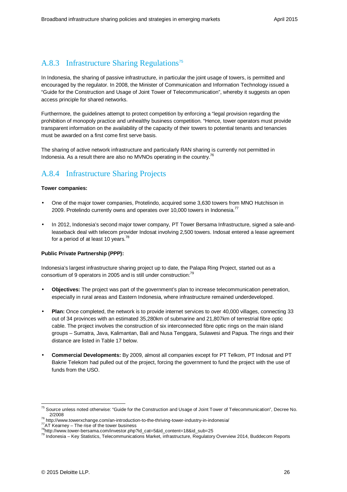# A.8.3 Infrastructure Sharing Regulations<sup>75</sup>

In Indonesia, the sharing of passive infrastructure, in particular the joint usage of towers, is permitted and encouraged by the regulator. In 2008, the Minister of Communication and Information Technology issued a "Guide for the Construction and Usage of Joint Tower of Telecommunication", whereby it suggests an open access principle for shared networks.

Furthermore, the guidelines attempt to protect competition by enforcing a "legal provision regarding the prohibition of monopoly practice and unhealthy business competition. "Hence, tower operators must provide transparent information on the availability of the capacity of their towers to potential tenants and tenancies must be awarded on a first come first serve basis.

The sharing of active network infrastructure and particularly RAN sharing is currently not permitted in Indonesia. As a result there are also no MVNOs operating in the country.<sup>76</sup>

# A.8.4 Infrastructure Sharing Projects

#### **Tower companies:**

- One of the major tower companies, Protelindo, acquired some 3,630 towers from MNO Hutchison in 2009. Protelindo currently owns and operates over 10,000 towers in Indonesia.<sup>77</sup>
- In 2012, Indonesia's second major tower company, PT Tower Bersama Infrastructure, signed a sale-andleaseback deal with telecom provider Indosat involving 2,500 towers. Indosat entered a lease agreement for a period of at least 10 years.<sup>78</sup>

#### **Public Private Partnership (PPP):**

Indonesia's largest infrastructure sharing project up to date, the Palapa Ring Project, started out as a consortium of 9 operators in 2005 and is still under construction:<sup>79</sup>

- **Objectives:** The project was part of the government's plan to increase telecommunication penetration, especially in rural areas and Eastern Indonesia, where infrastructure remained underdeveloped.
- **Plan:** Once completed, the network is to provide internet services to over 40,000 villages, connecting 33 out of 34 provinces with an estimated 35,280km of submarine and 21,807km of terrestrial fibre optic cable. The project involves the construction of six interconnected fibre optic rings on the main island groups – Sumatra, Java, Kalimantan, Bali and Nusa Tenggara, Sulawesi and Papua. The rings and their distance are listed in Table 17 below.
- **Commercial Developments:** By 2009, almost all companies except for PT Telkom, PT Indosat and PT Bakrie Telekom had pulled out of the project, forcing the government to fund the project with the use of funds from the USO.

<sup>&</sup>lt;sup>75</sup> Source unless noted otherwise: "Guide for the Construction and Usage of Joint Tower of Telecommunication", Decree No. 2/2008

<sup>76</sup> http://www.towerxchange.com/an-introduction-to-the-thriving-tower-industry-in-indonesia/

<sup>&</sup>lt;sup>77</sup>AT Kearney – The rise of the tower business

<sup>78</sup>http://www.tower-bersama.com/investor.php?id\_cat=5&id\_content=18&id\_sub=25

<sup>79</sup> Indonesia – Key Statistics, Telecommunications Market, infrastructure, Regulatory Overview 2014, Buddecom Reports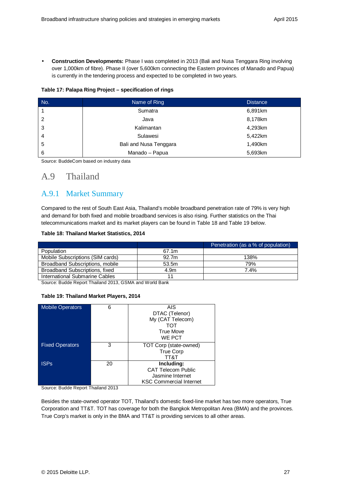• **Construction Developments:** Phase I was completed in 2013 (Bali and Nusa Tenggara Ring involving over 1,000km of fibre). Phase II (over 5,600km connecting the Eastern provinces of Manado and Papua) is currently in the tendering process and expected to be completed in two years.

#### **Table 17: Palapa Ring Project – specification of rings**

| No. | Name of Ring           | <b>Distance</b> |
|-----|------------------------|-----------------|
|     | Sumatra                | 6,891km         |
| 2   | Java                   | 8,178km         |
| 3   | Kalimantan             | 4,293km         |
| 4   | Sulawesi               | 5,422km         |
| 5   | Bali and Nusa Tenggara | 1,490km         |
| 6   | Manado - Papua         | 5,693km         |

Source: BuddeCom based on industry data

# A.9 Thailand

### A.9.1 Market Summary

Compared to the rest of South East Asia, Thailand's mobile broadband penetration rate of 79% is very high and demand for both fixed and mobile broadband services is also rising. Further statistics on the Thai telecommunications market and its market players can be found in Table 18 and Table 19 below.

#### **Table 18: Thailand Market Statistics, 2014**

|                                  |       | Penetration (as a % of population) |
|----------------------------------|-------|------------------------------------|
| Population                       | 67.1m |                                    |
| Mobile Subscriptions (SIM cards) | 92.7m | 138%                               |
| Broadband Subscriptions, mobile  | 53.5m | 79%                                |
| Broadband Subscriptions, fixed   | 4.9m  | 7.4%                               |
| International Submarine Cables   |       |                                    |

Source: Budde Report Thailand 2013, GSMA and World Bank

#### **Table 19: Thailand Market Players, 2014**

| <b>Mobile Operators</b> | 6  | AIS                            |
|-------------------------|----|--------------------------------|
|                         |    | DTAC (Telenor)                 |
|                         |    | My (CAT Telecom)               |
|                         |    | TOT                            |
|                         |    | <b>True Move</b>               |
|                         |    | WE PCT                         |
| <b>Fixed Operators</b>  | 3  | TOT Corp (state-owned)         |
|                         |    | <b>True Corp</b>               |
|                         |    | TT&T                           |
| <b>ISPs</b>             | 20 | Including:                     |
|                         |    | <b>CAT Telecom Public</b>      |
|                         |    | Jasmine Internet               |
|                         |    | <b>KSC Commercial Internet</b> |

Source: Budde Report Thailand 2013

Besides the state-owned operator TOT, Thailand's domestic fixed-line market has two more operators, True Corporation and TT&T. TOT has coverage for both the Bangkok Metropolitan Area (BMA) and the provinces. True Corp's market is only in the BMA and TT&T is providing services to all other areas.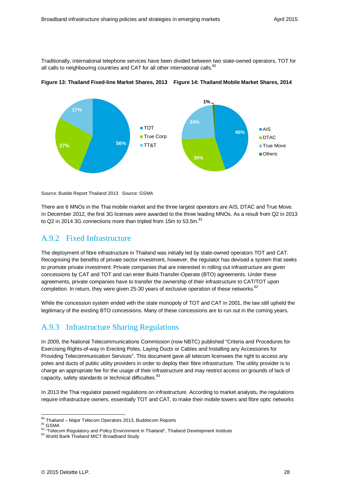Traditionally, international telephone services have been divided between two state-owned operators, TOT for all calls to neighbouring countries and CAT for all other international calls.<sup>80</sup>





Source: Budde Report Thailand 2013 Source: GSMA

There are 6 MNOs in the Thai mobile market and the three largest operators are AIS, DTAC and True Move. In December 2012, the first 3G licenses were awarded to the three leading MNOs. As a result from Q2 in 2013 to Q2 in 2014 3G connections more than tripled from 15m to 53.5m. $^{81}$ 

### A.9.2 Fixed Infrastructure

The deployment of fibre infrastructure in Thailand was initially led by state-owned operators TOT and CAT. Recognising the benefits of private sector investment, however, the regulator has devised a system that seeks to promote private investment: Private companies that are interested in rolling out infrastructure are given concessions by CAT and TOT and can enter Build-Transfer-Operate (BTO) agreements. Under these agreements, private companies have to transfer the ownership of their infrastructure to CAT/TOT upon completion. In return, they were given 25-30 years of exclusive operation of these networks.<sup>82</sup>

While the concession system ended with the state monopoly of TOT and CAT in 2001, the law still upheld the legitimacy of the existing BTO concessions. Many of these concessions are to run out in the coming years.

# A.9.3 Infrastructure Sharing Regulations

In 2009, the National Telecommunications Commission (now NBTC) published "Criteria and Procedures for Exercising Rights-of-way in Erecting Poles, Laying Ducts or Cables and Installing any Accessories for Providing Telecommunication Services". This document gave all telecom licensees the right to access any poles and ducts of public utility providers in order to deploy their fibre infrastructure. The utility provider is to charge an appropriate fee for the usage of their infrastructure and may restrict access on grounds of lack of capacity, safety standards or technical difficulties.<sup>83</sup>

In 2013 the Thai regulator passed regulations on infrastructure. According to market analysts, the regulations require infrastructure owners, essentially TOT and CAT, to make their mobile towers and fibre optic networks

<sup>-</sup><sup>80</sup> Thailand – Major Telecom Operators 2013, Buddecom Reports

 $^{81}$  GSMA

<sup>82 &</sup>quot;Telecom Regulatory and Policy Environment in Thailand", Thailand Development Institute

<sup>83</sup> World Bank Thailand MICT Broadband Study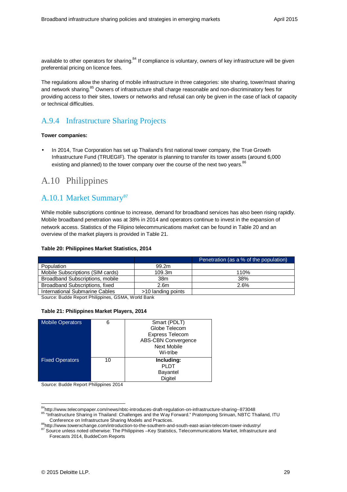available to other operators for sharing.<sup>84</sup> If compliance is voluntary, owners of key infrastructure will be given preferential pricing on licence fees.

The regulations allow the sharing of mobile infrastructure in three categories: site sharing, tower/mast sharing and network sharing.<sup>85</sup> Owners of infrastructure shall charge reasonable and non-discriminatory fees for providing access to their sites, towers or networks and refusal can only be given in the case of lack of capacity or technical difficulties.

## A.9.4 Infrastructure Sharing Projects

#### **Tower companies:**

• In 2014, True Corporation has set up Thailand's first national tower company, the True Growth Infrastructure Fund (TRUEGIF). The operator is planning to transfer its tower assets (around 6,000 existing and planned) to the tower company over the course of the next two years.<sup>86</sup>

# A.10 Philippines

### A.10.1 Market Summary<sup>87</sup>

While mobile subscriptions continue to increase, demand for broadband services has also been rising rapidly. Mobile broadband penetration was at 38% in 2014 and operators continue to invest in the expansion of network access. Statistics of the Filipino telecommunications market can be found in Table 20 and an overview of the market players is provided in Table 21.

#### **Table 20: Philippines Market Statistics, 2014**

|                                  |                    | Penetration (as a % of the population) |
|----------------------------------|--------------------|----------------------------------------|
| Population                       | 99.2m              |                                        |
| Mobile Subscriptions (SIM cards) | 109.3m             | 110%                                   |
| Broadband Subscriptions, mobile  | 38m                | 38%                                    |
| Broadband Subscriptions, fixed   | 2.6 <sub>m</sub>   | 2.6%                                   |
| International Submarine Cables   | >10 landing points |                                        |

Source: Budde Report Philippines, GSMA, World Bank

#### **Table 21: Philippines Market Players, 2014**

| <b>Mobile Operators</b> | 6  | Smart (PDLT)               |
|-------------------------|----|----------------------------|
|                         |    | Globe Telecom              |
|                         |    | <b>Express Telecom</b>     |
|                         |    | <b>ABS-CBN Convergence</b> |
|                         |    | <b>Next Mobile</b>         |
|                         |    | Wi-tribe                   |
| <b>Fixed Operators</b>  | 10 | Including:                 |
|                         |    | <b>PLDT</b>                |
|                         |    | <b>Bayantel</b>            |
|                         |    | Digitel                    |

Source: Budde Report Philippines 2014

<sup>84</sup>http://www.telecompaper.com/news/nbtc-introduces-draft-regulation-on-infrastructure-sharing--873048 85 "Infrastructure Sharing in Thailand: Challenges and the Way Forward." Pratompong Srinuan, NBTC Thailand, ITU Conference on Infrastructure Sharing Models and Practices.

<sup>86</sup>http://www.towerxchange.com/introduction-to-the-southern-and-south-east-asian-telecom-tower-industry/

<sup>87</sup> Source unless noted otherwise: The Philippines -Key Statistics, Telecommunications Market, Infrastructure and Forecasts 2014, BuddeCom Reports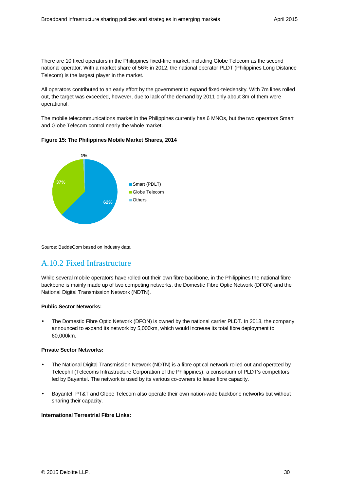There are 10 fixed operators in the Philippines fixed-line market, including Globe Telecom as the second national operator. With a market share of 56% in 2012, the national operator PLDT (Philippines Long Distance Telecom) is the largest player in the market.

All operators contributed to an early effort by the government to expand fixed-teledensity. With 7m lines rolled out, the target was exceeded, however, due to lack of the demand by 2011 only about 3m of them were operational.

The mobile telecommunications market in the Philippines currently has 6 MNOs, but the two operators Smart and Globe Telecom control nearly the whole market.





Source: BuddeCom based on industry data

## A.10.2 Fixed Infrastructure

While several mobile operators have rolled out their own fibre backbone, in the Philippines the national fibre backbone is mainly made up of two competing networks, the Domestic Fibre Optic Network (DFON) and the National Digital Transmission Network (NDTN).

#### **Public Sector Networks:**

The Domestic Fibre Optic Network (DFON) is owned by the national carrier PLDT. In 2013, the company announced to expand its network by 5,000km, which would increase its total fibre deployment to 60,000km.

#### **Private Sector Networks:**

- The National Digital Transmission Network (NDTN) is a fibre optical network rolled out and operated by Telecphil (Telecoms Infrastructure Corporation of the Philippines), a consortium of PLDT's competitors led by Bayantel. The network is used by its various co-owners to lease fibre capacity.
- Bayantel, PT&T and Globe Telecom also operate their own nation-wide backbone networks but without sharing their capacity.

#### **International Terrestrial Fibre Links:**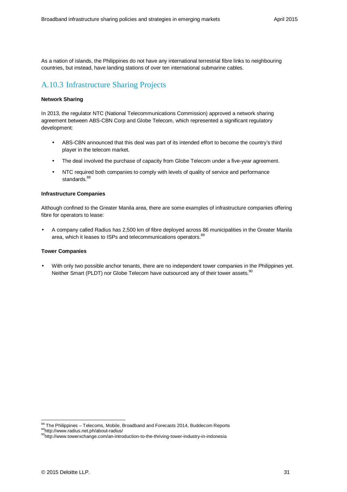As a nation of islands, the Philippines do not have any international terrestrial fibre links to neighbouring countries, but instead, have landing stations of over ten international submarine cables.

# A.10.3 Infrastructure Sharing Projects

#### **Network Sharing**

In 2013, the regulator NTC (National Telecommunications Commission) approved a network sharing agreement between ABS-CBN Corp and Globe Telecom, which represented a significant regulatory development:

- ABS-CBN announced that this deal was part of its intended effort to become the country's third player in the telecom market.
- The deal involved the purchase of capacity from Globe Telecom under a five-year agreement.
- NTC required both companies to comply with levels of quality of service and performance standards.<sup>88</sup>

#### **Infrastructure Companies**

Although confined to the Greater Manila area, there are some examples of infrastructure companies offering fibre for operators to lease:

• A company called Radius has 2,500 km of fibre deployed across 86 municipalities in the Greater Manila area, which it leases to ISPs and telecommunications operators.<sup>89</sup>

#### **Tower Companies**

• With only two possible anchor tenants, there are no independent tower companies in the Philippines yet. Neither Smart (PLDT) nor Globe Telecom have outsourced any of their tower assets.<sup>90</sup>

<sup>-</sup> $\frac{88}{3}$  The Philippines – Telecoms, Mobile, Broadband and Forecasts 2014, Buddecom Reports <sup>89</sup>http://www.radius.net.ph/about-radius/

<sup>90</sup>http://www.towerxchange.com/an-introduction-to-the-thriving-tower-industry-in-indonesia